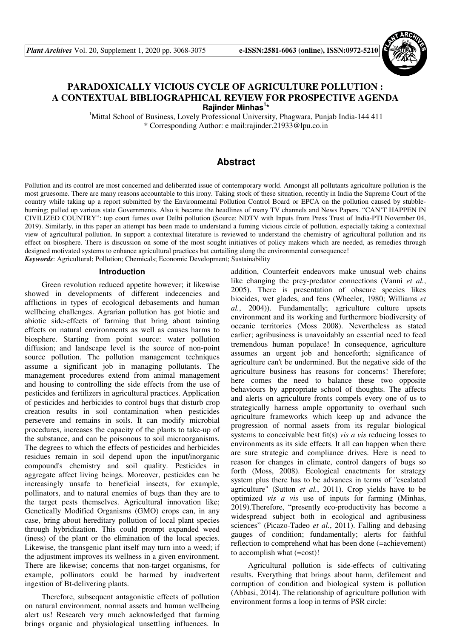

# **PARADOXICALLY VICIOUS CYCLE OF AGRICULTURE POLLUTION : A CONTEXTUAL BIBLIOGRAPHICAL REVIEW FOR PROSPECTIVE AGENDA Rajinder Minhas<sup>1</sup> \***

<sup>1</sup>Mittal School of Business, Lovely Professional University, Phagwara, Punjab India-144 411 \* Corresponding Author: e mail:rajinder.21933@lpu.co.in

# **Abstract**

Pollution and its control are most concerned and deliberated issue of contemporary world. Amongst all pollutants agriculture pollution is the most gruesome. There are many reasons accountable to this irony. Taking stock of these situation, recently in India the Supreme Court of the country while taking up a report submitted by the Environmental Pollution Control Board or EPCA on the pollution caused by stubbleburning; pulled up various state Governments. Also it became the headlines of many TV channels and News Papers. "CAN'T HAPPEN IN CIVILIZED COUNTRY": top court fumes over Delhi pollution (Source: NDTV with Inputs from Press Trust of India-PTI November 04, 2019). Similarly, in this paper an attempt has been made to understand a fuming vicious circle of pollution, especially taking a contextual view of agricultural pollution. In support a contextual literature is reviewed to understand the chemistry of agricultural pollution and its effect on biosphere. There is discussion on some of the most sought initiatives of policy makers which are needed, as remedies through designed motivated systems to enhance agricultural practices but curtailing along the environmental consequence! *Keywords*: Agricultural; Pollution; Chemicals; Economic Development; Sustainability

#### **Introduction**

Green revolution reduced appetite however; it likewise showed in developments of different indecencies and afflictions in types of ecological debasements and human wellbeing challenges. Agrarian pollution has got biotic and abiotic side-effects of farming that bring about tainting effects on natural environments as well as causes harms to biosphere. Starting from point source: water pollution diffusion; and landscape level is the source of non-point source pollution. The pollution management techniques assume a significant job in managing pollutants. The management procedures extend from animal management and housing to controlling the side effects from the use of pesticides and fertilizers in agricultural practices. Application of pesticides and herbicides to control bugs that disturb crop creation results in soil contamination when pesticides persevere and remains in soils. It can modify microbial procedures, increases the capacity of the plants to take-up of the substance, and can be poisonous to soil microorganisms. The degrees to which the effects of pesticides and herbicides residues remain in soil depend upon the input/inorganic compound's chemistry and soil quality. Pesticides in aggregate affect living beings. Moreover, pesticides can be increasingly unsafe to beneficial insects, for example, pollinators, and to natural enemies of bugs than they are to the target pests themselves. Agricultural innovation like; Genetically Modified Organisms (GMO) crops can, in any case, bring about hereditary pollution of local plant species through hybridization. This could prompt expanded weed (iness) of the plant or the elimination of the local species. Likewise, the transgenic plant itself may turn into a weed; if the adjustment improves its wellness in a given environment. There are likewise; concerns that non-target organisms, for example, pollinators could be harmed by inadvertent ingestion of Bt-delivering plants.

Therefore, subsequent antagonistic effects of pollution on natural environment, normal assets and human wellbeing alert us! Research very much acknowledged that farming brings organic and physiological unsettling influences. In

addition, Counterfeit endeavors make unusual web chains like changing the prey-predator connections (Vanni *et al.*, 2005). There is presentation of obscure species likes biocides, wet glades, and fens (Wheeler, 1980; Williams *et al.*, 2004)). Fundamentally; agriculture culture upsets environment and its working and furthermore biodiversity of oceanic territories (Moss 2008). Nevertheless as stated earlier; agribusiness is unavoidably an essential need to feed tremendous human populace! In consequence, agriculture assumes an urgent job and henceforth; significance of agriculture can't be undermined. But the negative side of the agriculture business has reasons for concerns! Therefore; here comes the need to balance these two opposite behaviours by appropriate school of thoughts. The affects and alerts on agriculture fronts compels every one of us to strategically harness ample opportunity to overhaul such agriculture frameworks which keep up and advance the progression of normal assets from its regular biological systems to conceivable best fit(s) *vis a vis* reducing losses to environments as its side effects. It all can happen when there are sure strategic and compliance drives. Here is need to reason for changes in climate, control dangers of bugs so forth (Moss, 2008). Ecological enactments for strategy system plus there has to be advances in terms of "escalated agriculture" (Sutton *et al.*, 2011). Crop yields have to be optimized *vis a vis* use of inputs for farming (Minhas, 2019).Therefore, "presently eco-productivity has become a widespread subject both in ecological and agribusiness sciences" (Picazo-Tadeo *et al.*, 2011). Falling and debasing gauges of condition; fundamentally; alerts for faithful reflection to comprehend what has been done (=achievement) to accomplish what (=cost)!

Agricultural pollution is side-effects of cultivating results. Everything that brings about harm, defilement and corruption of condition and biological system is pollution (Abbasi, 2014). The relationship of agriculture pollution with environment forms a loop in terms of PSR circle: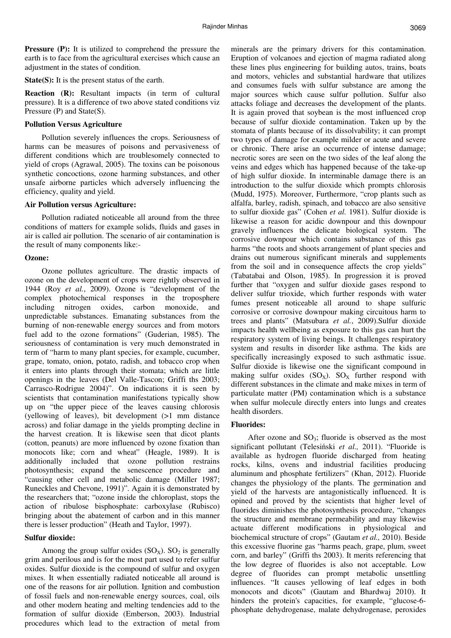**Pressure (P):** It is utilized to comprehend the pressure the earth is to face from the agricultural exercises which cause an adjustment in the states of condition.

**State(S):** It is the present status of the earth.

**Reaction (R):** Resultant impacts (in term of cultural pressure). It is a difference of two above stated conditions viz Pressure (P) and State(S).

# **Pollution Versus Agriculture**

Pollution severely influences the crops. Seriousness of harms can be measures of poisons and pervasiveness of different conditions which are troublesomely connected to yield of crops (Agrawal, 2005). The toxins can be poisonous synthetic concoctions, ozone harming substances, and other unsafe airborne particles which adversely influencing the efficiency, quality and yield.

## **Air Pollution versus Agriculture:**

Pollution radiated noticeable all around from the three conditions of matters for example solids, fluids and gases in air is called air pollution. The scenario of air contamination is the result of many components like:-

## **Ozone:**

Ozone pollutes agriculture. The drastic impacts of ozone on the development of crops were rightly observed in 1944 (Roy *et al.*, 2009). Ozone is "development of the complex photochemical responses in the troposphere including nitrogen oxides, carbon monoxide, and unpredictable substances. Emanating substances from the burning of non-renewable energy sources and from motors fuel add to the ozone formations" (Guderian, 1985). The seriousness of contamination is very much demonstrated in term of "harm to many plant species, for example, cucumber, grape, tomato, onion, potato, radish, and tobacco crop when it enters into plants through their stomata; which are little openings in the leaves (Del Valle-Tascon; Griffi ths 2003; Carrasco-Rodrigue 2004)". On indications it is seen by scientists that contamination manifestations typically show up on "the upper piece of the leaves causing chlorosis (yellowing of leaves), bit development (>1 mm distance across) and foliar damage in the yields prompting decline in the harvest creation. It is likewise seen that dicot plants (cotton, peanuts) are more influenced by ozone fixation than monocots like; corn and wheat" (Heagle, 1989). It is additionally included that ozone pollution restrains photosynthesis; expand the senescence procedure and "causing other cell and metabolic damage (Miller 1987; Runeckles and Chevone, 1991)". Again it is demonstrated by the researchers that; "ozone inside the chloroplast, stops the action of ribulose bisphosphate: carboxylase (Rubisco) bringing about the abatement of carbon and in this manner there is lesser production" (Heath and Taylor, 1997).

# **Sulfur dioxide:**

Among the group sulfur oxides  $(SO_X)$ .  $SO_2$  is generally grim and perilous and is for the most part used to refer sulfur oxides. Sulfur dioxide is the compound of sulfur and oxygen mixes. It when essentially radiated noticeable all around is one of the reasons for air pollution. Ignition and combustion of fossil fuels and non-renewable energy sources, coal, oils and other modern heating and melting tendencies add to the formation of sulfur dioxide (Emberson, 2003). Industrial procedures which lead to the extraction of metal from

minerals are the primary drivers for this contamination. Eruption of volcanoes and ejection of magma radiated along these lines plus engineering for building autos, trains, boats and motors, vehicles and substantial hardware that utilizes and consumes fuels with sulfur substance are among the major sources which cause sulfur pollution. Sulfur also attacks foliage and decreases the development of the plants. It is again proved that soybean is the most influenced crop because of sulfur dioxide contamination. Taken up by the stomata of plants because of its dissolvability; it can prompt two types of damage for example milder or acute and severe or chronic. There arise an occurrence of intense damage; necrotic sores are seen on the two sides of the leaf along the veins and edges which has happened because of the take-up of high sulfur dioxide. In interminable damage there is an introduction to the sulfur dioxide which prompts chlorosis (Mudd, 1975). Moreover, Furthermore, "crop plants such as alfalfa, barley, radish, spinach, and tobacco are also sensitive to sulfur dioxide gas" (Cohen *et al.* 1981). Sulfur dioxide is likewise a reason for acidic downpour and this downpour gravely influences the delicate biological system. The corrosive downpour which contains substance of this gas harms "the roots and shoots arrangement of plant species and drains out numerous significant minerals and supplements from the soil and in consequence affects the crop yields" (Tabatabai and Olson, 1985). In progression it is proved further that "oxygen and sulfur dioxide gases respond to deliver sulfur trioxide, which further responds with water fumes present noticeable all around to shape sulfuric corrosive or corrosive downpour making circuitous harm to trees and plants" (Matsubara *et al.*, 2009).Sulfur dioxide impacts health wellbeing as exposure to this gas can hurt the respiratory system of living beings. It challenges respiratory system and results in disorder like asthma. The kids are specifically increasingly exposed to such asthmatic issue. Sulfur dioxide is likewise one the significant compound in making sulfur oxides  $(SO_X)$ .  $SO_X$  further respond with different substances in the climate and make mixes in term of particulate matter (PM) contamination which is a substance when sulfur molecule directly enters into lungs and creates health disorders.

# **Fluorides:**

After ozone and  $SO_3$ ; fluoride is observed as the most significant pollutant (Telesiński *et al.,* 2011). "Fluoride is available as hydrogen fluoride discharged from heating rocks, kilns, ovens and industrial facilities producing aluminum and phosphate fertilizers" (Khan, 2012). Fluoride changes the physiology of the plants. The germination and yield of the harvests are antagonistically influenced. It is opined and proved by the scientists that higher level of fluorides diminishes the photosynthesis procedure, "changes the structure and membrane permeability and may likewise actuate different modifications in physiological and biochemical structure of crops" (Gautam *et al.,* 2010). Beside this excessive fluorine gas "harms peach, grape, plum, sweet corn, and barley" (Griffi ths 2003). It merits referencing that the low degree of fluorides is also not acceptable. Low degree of fluorides can prompt metabolic unsettling influences. "It causes yellowing of leaf edges in both monocots and dicots" (Gautam and Bhardwaj 2010). It hinders the protein's capacities, for example, "glucose-6phosphate dehydrogenase, malate dehydrogenase, peroxides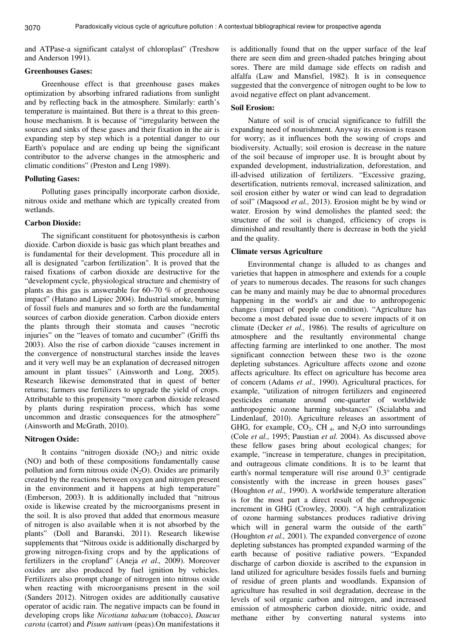3070

and ATPase-a significant catalyst of chloroplast" (Treshow and Anderson 1991).

# **Greenhouses Gases:**

Greenhouse effect is that greenhouse gases makes optimization by absorbing infrared radiations from sunlight and by reflecting back in the atmosphere. Similarly: earth's temperature is maintained. But there is a threat to this greenhouse mechanism. It is because of "irregularity between the sources and sinks of these gases and their fixation in the air is expanding step by step which is a potential danger to our Earth's populace and are ending up being the significant contributor to the adverse changes in the atmospheric and climatic conditions" (Preston and Leng 1989).

### **Polluting Gases:**

Polluting gases principally incorporate carbon dioxide, nitrous oxide and methane which are typically created from wetlands.

#### **Carbon Dioxide:**

The significant constituent for photosynthesis is carbon dioxide. Carbon dioxide is basic gas which plant breathes and is fundamental for their development. This procedure all in all is designated "carbon fertilization". It is proved that the raised fixations of carbon dioxide are destructive for the "development cycle, physiological structure and chemistry of plants as this gas is answerable for 60–70 % of greenhouse impact" (Hatano and Lipiec 2004). Industrial smoke, burning of fossil fuels and manures and so forth are the fundamental sources of carbon dioxide generation. Carbon dioxide enters the plants through their stomata and causes "necrotic injuries" on the "leaves of tomato and cucumber" (Griffi ths 2003). Also the rise of carbon dioxide "causes increment in the convergence of nonstructural starches inside the leaves and it very well may be an explanation of decreased nitrogen amount in plant tissues" (Ainsworth and Long, 2005). Research likewise demonstrated that in quest of better returns; farmers use fertilizers to upgrade the yield of crops. Attributable to this propensity "more carbon dioxide released by plants during respiration process, which has some uncommon and drastic consequences for the atmosphere" (Ainsworth and McGrath, 2010).

#### **Nitrogen Oxide:**

It contains "nitrogen dioxide  $(NO<sub>2</sub>)$  and nitric oxide (NO) and both of these compositions fundamentally cause pollution and form nitrous oxide  $(N_2O)$ . Oxides are primarily created by the reactions between oxygen and nitrogen present in the environment and it happens at high temperature" (Emberson, 2003). It is additionally included that "nitrous oxide is likewise created by the microorganisms present in the soil. It is also proved that added that enormous measure of nitrogen is also available when it is not absorbed by the plants" (Doll and Baranski, 2011). Research likewise supplements that "Nitrous oxide is additionally discharged by growing nitrogen-fixing crops and by the applications of fertilizers in the cropland" (Aneja *et al.,* 2009). Moreover oxides are also produced by fuel ignition by vehicles. Fertilizers also prompt change of nitrogen into nitrous oxide when reacting with microorganisms present in the soil (Sanders 2012). Nitrogen oxides are additionally causative operator of acidic rain. The negative impacts can be found in developing crops like *Nicotiana tabacum* (tobacco), *Daucus carota* (carrot) and *Pisum sativum* (peas).On manifestations it is additionally found that on the upper surface of the leaf there are seen dim and green-shaded patches bringing about sores. There are mild damage side effects on radish and alfalfa (Law and Mansfiel, 1982). It is in consequence suggested that the convergence of nitrogen ought to be low to avoid negative effect on plant advancement.

#### **Soil Erosion:**

Nature of soil is of crucial significance to fulfill the expanding need of nourishment. Anyway its erosion is reason for worry; as it influences both the sowing of crops and biodiversity. Actually; soil erosion is decrease in the nature of the soil because of improper use. It is brought about by expanded development, industrialization, deforestation, and ill-advised utilization of fertilizers. "Excessive grazing, desertification, nutrients removal, increased salinization, and soil erosion either by water or wind can lead to degradation of soil" (Maqsood *et al.,* 2013). Erosion might be by wind or water. Erosion by wind demolishes the planted seed; the structure of the soil is changed, efficiency of crops is diminished and resultantly there is decrease in both the yield and the quality.

#### **Climate versus Agriculture**

Environmental change is alluded to as changes and varieties that happen in atmosphere and extends for a couple of years to numerous decades. The reasons for such changes can be many and mainly may be due to abnormal procedures happening in the world's air and due to anthropogenic changes (impact of people on condition). "Agriculture has become a most debated issue due to severe impacts of it on climate (Decker *et al.,* 1986). The results of agriculture on atmosphere and the resultantly environmental change affecting farming are interlinked to one another. The most significant connection between these two is the ozone depleting substances. Agriculture affects ozone and ozone affects agriculture. Its effect on agriculture has become area of concern (Adams *et al.,* 1990). Agricultural practices, for example, "utilization of nitrogen fertilizers and engineered pesticides emanate around one-quarter of worldwide anthropogenic ozone harming substances" (Scialabba and Lindenlauf, 2010). Agriculture releases an assortment of GHG, for example,  $CO_2$ , CH <sub>4</sub>, and N<sub>2</sub>O into surroundings (Cole *et al.,* 1995; Paustian *et al.* 2004). As discussed above these fellow gases bring about ecological changes; for example, "increase in temperature, changes in precipitation, and outrageous climate conditions. It is to be learnt that earth's normal temperature will rise around 0.3° centigrade consistently with the increase in green houses gases" (Houghton *et al.,* 1990). A worldwide temperature alteration is for the most part a direct result of the anthropogenic increment in GHG (Crowley, 2000). "A high centralization of ozone harming substances produces radiative driving which will in general warm the outside of the earth" (Houghton *et al.,* 2001). The expanded convergence of ozone depleting substances has prompted expanded warming of the earth because of positive radiative powers. "Expanded discharge of carbon dioxide is ascribed to the expansion in land utilized for agriculture besides fossils fuels and burning of residue of green plants and woodlands. Expansion of agriculture has resulted in soil degradation, decrease in the levels of soil organic carbon and nitrogen, and increased emission of atmospheric carbon dioxide, nitric oxide, and methane either by converting natural systems into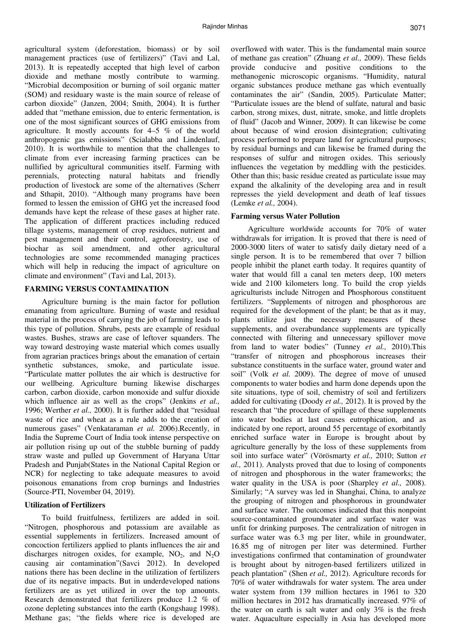agricultural system (deforestation, biomass) or by soil management practices (use of fertilizers)" (Tavi and Lal, 2013). It is repeatedly accepted that high level of carbon dioxide and methane mostly contribute to warming. "Microbial decomposition or burning of soil organic matter (SOM) and residuary waste is the main source of release of carbon dioxide" (Janzen, 2004; Smith, 2004). It is further added that "methane emission, due to enteric fermentation, is one of the most significant sources of GHG emissions from agriculture. It mostly accounts for 4–5 % of the world anthropogenic gas emissions" (Scialabba and Lindenlauf, 2010). It is worthwhile to mention that the challenges to climate from ever increasing farming practices can be nullified by agricultural communities itself. Farming with perennials, protecting natural habitats and friendly production of livestock are some of the alternatives (Scherr and Sthapit, 2010). "Although many programs have been formed to lessen the emission of GHG yet the increased food demands have kept the release of these gases at higher rate. The application of different practices including reduced tillage systems, management of crop residues, nutrient and pest management and their control, agroforestry, use of biochar as soil amendment, and other agricultural technologies are some recommended managing practices which will help in reducing the impact of agriculture on climate and environment" (Tavi and Lal, 2013).

### **FARMING VERSUS CONTAMINATION**

Agriculture burning is the main factor for pollution emanating from agriculture. Burning of waste and residual material in the process of carrying the job of farming leads to this type of pollution. Shrubs, pests are example of residual wastes. Bushes, straws are case of leftover squanders. The way toward destroying waste material which comes usually from agrarian practices brings about the emanation of certain synthetic substances, smoke, and particulate issue. "Particulate matter pollutes the air which is destructive for our wellbeing. Agriculture burning likewise discharges carbon, carbon dioxide, carbon monoxide and sulfur dioxide which influence air as well as the crops" (Jenkins *et al.,* 1996; Werther *et al.,* 2000). It is further added that "residual waste of rice and wheat as a rule adds to the creation of numerous gases" (Venkataraman *et al.* 2006).Recently, in India the Supreme Court of India took intense perspective on air pollution rising up out of the stubble burning of paddy straw waste and pulled up Government of Haryana Uttar Pradesh and Punjab(States in the National Capital Region or NCR) for neglecting to take adequate measures to avoid poisonous emanations from crop burnings and Industries (Source-PTI, November 04, 2019).

# **Utilization of Fertilizers**

To build fruitfulness, fertilizers are added in soil. "Nitrogen, phosphorous and potassium are available as essential supplements in fertilizers. Increased amount of concoction fertilizers applied to plants influences the air and discharges nitrogen oxides, for example,  $NO<sub>2</sub>$ , and  $N<sub>2</sub>O$ causing air contamination"(Savci 2012). In developed nations there has been decline in the utilization of fertilizers due of its negative impacts. But in underdeveloped nations fertilizers are as yet utilized in over the top amounts. Research demonstrated that fertilizers produce 1.2 % of ozone depleting substances into the earth (Kongshaug 1998). Methane gas; "the fields where rice is developed are

overflowed with water. This is the fundamental main source of methane gas creation" (Zhuang *et al.,* 2009). These fields provide conducive and positive conditions to the methanogenic microscopic organisms. "Humidity, natural organic substances produce methane gas which eventually contaminates the air" (Sandin, 2005). Particulate Matter; "Particulate issues are the blend of sulfate, natural and basic carbon, strong mixes, dust, nitrate, smoke, and little droplets of fluid" (Jacob and Winner, 2009). It can likewise be come about because of wind erosion disintegration; cultivating process performed to prepare land for agricultural purposes; by residual burnings and can likewise be framed during the responses of sulfur and nitrogen oxides. This seriously influences the vegetation by meddling with the pesticides. Other than this; basic residue created as particulate issue may expand the alkalinity of the developing area and in result represses the yield development and death of leaf tissues (Lemke *et al.,* 2004).

#### **Farming versus Water Pollution**

Agriculture worldwide accounts for 70% of water withdrawals for irrigation. It is proved that there is need of 2000-3000 liters of water to satisfy daily dietary need of a single person. It is to be remembered that over 7 billion people inhibit the planet earth today. It requires quantity of water that would fill a canal ten meters deep, 100 meters wide and 2100 kilometers long. To build the crop yields agriculturists include Nitrogen and Phosphorous constituent fertilizers. "Supplements of nitrogen and phosphorous are required for the development of the plant; be that as it may, plants utilize just the necessary measures of these supplements, and overabundance supplements are typically connected with filtering and unnecessary spillover move from land to water bodies" (Tunney *et al.,* 2010).This "transfer of nitrogen and phosphorous increases their substance constituents in the surface water, ground water and soil" (Volk *et al.* 2009). The degree of move of unused components to water bodies and harm done depends upon the site situations, type of soil, chemistry of soil and fertilizers added for cultivating (Doody *et al.,* 2012). It is proved by the research that "the procedure of spillage of these supplements into water bodies at last causes eutrophication, and as indicated by one report, around 55 percentage of exorbitantly enriched surface water in Europe is brought about by agriculture generally by the loss of these supplements from soil into surface water" (Vörösmarty *et al.,* 2010; Sutton *et al.,* 2011). Analysts proved that due to losing of components of nitrogen and phosphorous in the water frameworks; the water quality in the USA is poor (Sharpley *et al.,* 2008). Similarly; "A survey was led in Shanghai, China, to analyze the grouping of nitrogen and phosphorous in groundwater and surface water. The outcomes indicated that this nonpoint source-contaminated groundwater and surface water was unfit for drinking purposes. The centralization of nitrogen in surface water was 6.3 mg per liter, while in groundwater, 16.85 mg of nitrogen per liter was determined. Further investigations confirmed that contamination of groundwater is brought about by nitrogen-based fertilizers utilized in peach plantation" (Shen *et al.,* 2012). Agriculture records for 70% of water withdrawals for water system. The area under water system from 139 million hectares in 1961 to 320 million hectares in 2012 has dramatically increased. 97% of the water on earth is salt water and only 3% is the fresh water. Aquaculture especially in Asia has developed more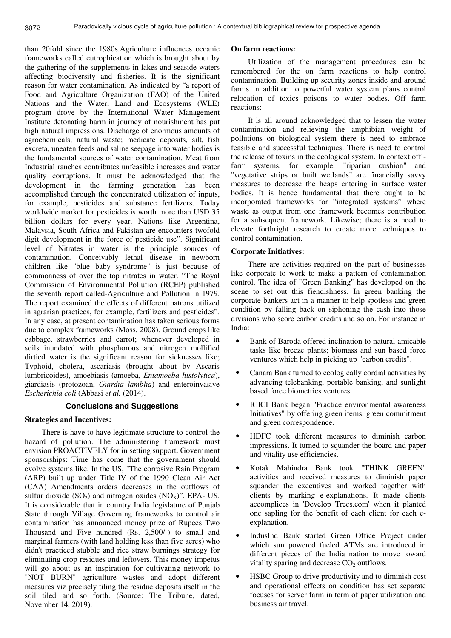than 20fold since the 1980s.Agriculture influences oceanic frameworks called eutrophication which is brought about by the gathering of the supplements in lakes and seaside waters affecting biodiversity and fisheries. It is the significant reason for water contamination. As indicated by "a report of Food and Agriculture Organization (FAO) of the United Nations and the Water, Land and Ecosystems (WLE) program drove by the International Water Management Institute detonating harm in journey of nourishment has put high natural impressions. Discharge of enormous amounts of agrochemicals, natural waste; medicate deposits, silt, fish excreta, uneaten feeds and saline seepage into water bodies is the fundamental sources of water contamination. Meat from Industrial ranches contributes unfeasible increases and water quality corruptions. It must be acknowledged that the development in the farming generation has been accomplished through the concentrated utilization of inputs, for example, pesticides and substance fertilizers. Today worldwide market for pesticides is worth more than USD 35 billion dollars for every year. Nations like Argentina, Malaysia, South Africa and Pakistan are encounters twofold digit development in the force of pesticide use". Significant level of Nitrates in water is the principle sources of contamination. Conceivably lethal disease in newborn children like "blue baby syndrome" is just because of commonness of over the top nitrates in water. "The Royal Commission of Environmental Pollution (RCEP) published the seventh report called-Agriculture and Pollution in 1979. The report examined the effects of different patrons utilized in agrarian practices, for example, fertilizers and pesticides". In any case, at present contamination has taken serious forms due to complex frameworks (Moss, 2008). Ground crops like cabbage, strawberries and carrot; whenever developed in soils inundated with phosphorous and nitrogen mollified dirtied water is the significant reason for sicknesses like; Typhoid, cholera, ascariasis (brought about by Ascaris lumbricoides), amoebiasis (amoeba, *Entamoeba histolytica*), giardiasis (protozoan, *Giardia lamblia*) and enteroinvasive *Escherichia coli* (Abbasi *et al.* (2014).

### **Conclusions and Suggestions**

### **Strategies and Incentives:**

There is have to have legitimate structure to control the hazard of pollution. The administering framework must envision PROACTIVELY for in setting support. Government sponsorships: Time has come that the government should evolve systems like, In the US, "The corrosive Rain Program (ARP) built up under Title IV of the 1990 Clean Air Act (CAA) Amendments orders decreases in the outflows of sulfur dioxide  $(SO_2)$  and nitrogen oxides  $(NO_X)$ ". EPA- US. It is considerable that in country India legislature of Punjab State through Village Governing frameworks to control air contamination has announced money prize of Rupees Two Thousand and Five hundred (Rs. 2,500/-) to small and marginal farmers (with land holding less than five acres) who didn't practiced stubble and rice straw burnings strategy for eliminating crop residues and leftovers. This money impetus will go about as an inspiration for cultivating network to "NOT BURN" agriculture wastes and adopt different measures viz precisely tiling the residue deposits itself in the soil tiled and so forth. (Source: The Tribune, dated, November 14, 2019).

## **On farm reactions:**

Utilization of the management procedures can be remembered for the on farm reactions to help control contamination. Building up security zones inside and around farms in addition to powerful water system plans control relocation of toxics poisons to water bodies. Off farm reactions:

It is all around acknowledged that to lessen the water contamination and relieving the amphibian weight of pollutions on biological system there is need to embrace feasible and successful techniques. There is need to control the release of toxins in the ecological system. In context off farm systems, for example, "riparian cushion" and "vegetative strips or built wetlands" are financially savvy measures to decrease the heaps entering in surface water bodies. It is hence fundamental that there ought to be incorporated frameworks for "integrated systems" where waste as output from one framework becomes contribution for a subsequent framework. Likewise; there is a need to elevate forthright research to create more techniques to control contamination.

## **Corporate Initiatives:**

There are activities required on the part of businesses like corporate to work to make a pattern of contamination control. The idea of "Green Banking" has developed on the scene to set out this fiendishness. In green banking the corporate bankers act in a manner to help spotless and green condition by falling back on siphoning the cash into those divisions who score carbon credits and so on. For instance in India:

- Bank of Baroda offered inclination to natural amicable tasks like breeze plants; biomass and sun based force ventures which help in picking up "carbon credits".
- Canara Bank turned to ecologically cordial activities by advancing telebanking, portable banking, and sunlight based force biometrics ventures.
- ICICI Bank began "Practice environmental awareness Initiatives" by offering green items, green commitment and green correspondence.
- HDFC took different measures to diminish carbon impressions. It turned to squander the board and paper and vitality use efficiencies.
- Kotak Mahindra Bank took "THINK GREEN" activities and received measures to diminish paper squander the executives and worked together with clients by marking e-explanations. It made clients accomplices in 'Develop Trees.com' when it planted one sapling for the benefit of each client for each eexplanation.
- IndusInd Bank started Green Office Project under which sun powered fueled ATMs are introduced in different pieces of the India nation to move toward vitality sparing and decrease  $CO<sub>2</sub>$  outflows.
- HSBC Group to drive productivity and to diminish cost and operational effects on condition has set separate focuses for server farm in term of paper utilization and business air travel.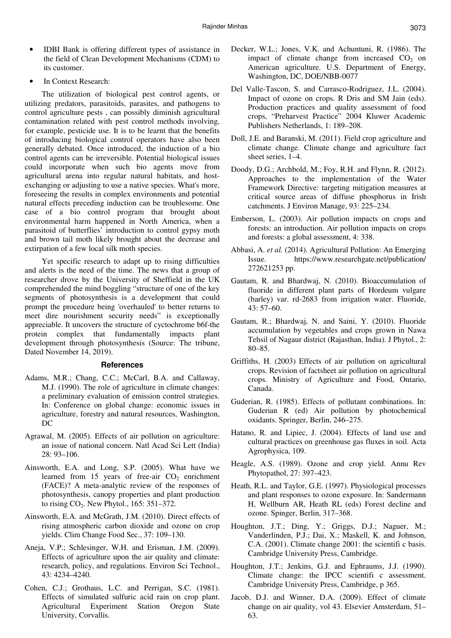- IDBI Bank is offering different types of assistance in the field of Clean Development Mechanisms (CDM) to its customer.
- In Context Research:

The utilization of biological pest control agents, or utilizing predators, parasitoids, parasites, and pathogens to control agriculture pests , can possibly diminish agricultural contamination related with pest control methods involving, for example, pesticide use. It is to be learnt that the benefits of introducing biological control operators have also been generally debated. Once introduced, the induction of a bio control agents can be irreversible. Potential biological issues could incorporate when such bio agents move from agricultural arena into regular natural habitats, and hostexchanging or adjusting to use a native species. What's more, foreseeing the results in complex environments and potential natural effects preceding induction can be troublesome. One case of a bio control program that brought about environmental harm happened in North America, when a parasitoid of butterflies' introduction to control gypsy moth and brown tail moth likely brought about the decrease and extirpation of a few local silk moth species.

Yet specific research to adapt up to rising difficulties and alerts is the need of the time. The news that a group of researcher drove by the University of Sheffield in the UK comprehended the mind boggling "structure of one of the key segments of photosynthesis is a development that could prompt the procedure being 'overhauled' to better returns to meet dire nourishment security needs" is exceptionally appreciable. It uncovers the structure of cyctochrome b6f-the protein complex that fundamentally impacts plant development through photosynthesis (Source: The tribune, Dated November 14, 2019).

# **References**

- Adams, M.R.; Chang, C.C.; McCarl, B.A. and Callaway, M.J. (1990). The role of agriculture in climate changes: a preliminary evaluation of emission control strategies. In: Conference on global change: economic issues in agriculture, forestry and natural resources, Washington, DC
- Agrawal, M. (2005). Effects of air pollution on agriculture: an issue of national concern. Natl Acad Sci Lett (India) 28: 93–106.
- Ainsworth, E.A. and Long, S.P. (2005). What have we learned from  $15$  years of free-air  $CO<sub>2</sub>$  enrichment (FACE)? A meta-analytic review of the responses of photosynthesis, canopy properties and plant production to rising  $CO<sub>2</sub>$ . New Phytol., 165: 351–372.
- Ainsworth, E.A. and McGrath, J.M. (2010). Direct effects of rising atmospheric carbon dioxide and ozone on crop yields. Clim Change Food Sec., 37: 109–130.
- Aneja, V.P.; Schlesinger, W.H. and Erisman, J.M. (2009). Effects of agriculture upon the air quality and climate: research, policy, and regulations. Environ Sci Technol., 43: 4234–4240.
- Cohen, C.J.; Grothaus, L.C. and Perrigan, S.C. (1981). Effects of simulated sulfuric acid rain on crop plant. Agricultural Experiment Station Oregon State University, Corvallis.
- Decker, W.L.; Jones, V.K. and Achuntuni, R. (1986). The impact of climate change from increased  $CO<sub>2</sub>$  on American agriculture. U.S. Department of Energy, Washington, DC, DOE/NBB-0077
- Del Valle-Tascon, S. and Carrasco-Rodriguez, J.L. (2004). Impact of ozone on crops. R Dris and SM Jain (eds). Production practices and quality assessment of food crops, "Preharvest Practice" 2004 Kluwer Academic Publishers Netherlands, 1: 189–208.
- Doll, J.E. and Baranski, M. (2011). Field crop agriculture and climate change. Climate change and agriculture fact sheet series, 1–4.
- Doody, D.G.; Archbold, M.; Foy, R.H. and Flynn, R. (2012). Approaches to the implementation of the Water Framework Directive: targeting mitigation measures at critical source areas of diffuse phosphorus in Irish catchments. J Environ Manage, 93: 225–234.
- Emberson, L. (2003). Air pollution impacts on crops and forests: an introduction. Air pollution impacts on crops and forests: a global assessment, 4: 338.
- Abbasi, A. *et al.* (2014). Agricultural Pollution: An Emerging Issue. https://www.researchgate.net/publication/ 272621253 pp.
- Gautam, R. and Bhardwaj, N. (2010). Bioaccumulation of fluoride in different plant parts of Hordeum vulgare (barley) var. rd-2683 from irrigation water. Fluoride, 43: 57–60.
- Gautam, R.; Bhardwaj, N. and Saini, Y. (2010). Fluoride accumulation by vegetables and crops grown in Nawa Tehsil of Nagaur district (Rajasthan, India). J Phytol., 2: 80–85.
- Griffiths, H. (2003) Effects of air pollution on agricultural crops. Revision of factsheet air pollution on agricultural crops. Ministry of Agriculture and Food, Ontario, Canada.
- Guderian, R. (1985). Effects of pollutant combinations. In: Guderian R (ed) Air pollution by photochemical oxidants. Springer, Berlin, 246–275.
- Hatano, R. and Lipiec, J. (2004). Effects of land use and cultural practices on greenhouse gas fluxes in soil. Acta Agrophysica, 109.
- Heagle, A.S. (1989). Ozone and crop yield. Annu Rev Phytopathol, 27: 397–423.
- Heath, R.L. and Taylor, G.E. (1997). Physiological processes and plant responses to ozone exposure. In: Sandermann H, Wellburn AR, Heath RL (eds) Forest decline and ozone. Spinger, Berlin, 317–368.
- Houghton, J.T.; Ding, Y.; Griggs, D.J.; Naguer, M.; Vanderlinden, P.J.; Dai, X.; Maskell, K. and Johnson, C.A. (2001). Climate change 2001: the scientifi c basis. Cambridge University Press, Cambridge.
- Houghton, J.T.; Jenkins, G.J. and Ephraums, J.J. (1990). Climate change: the IPCC scientifi c assessment. Cambridge University Press, Cambridge, p 365.
- Jacob, D.J. and Winner, D.A. (2009). Effect of climate change on air quality, vol 43. Elsevier Amsterdam, 51– 63.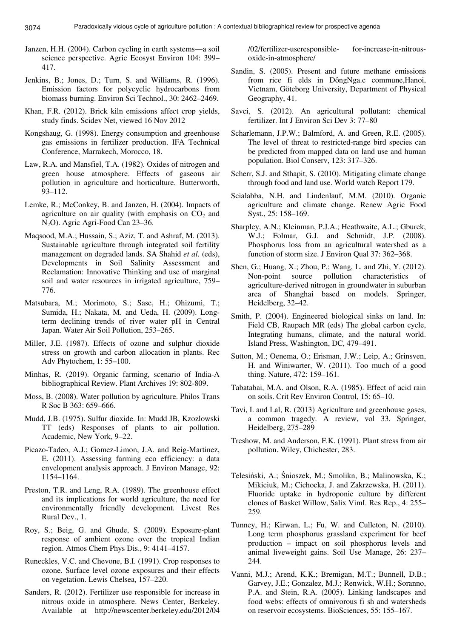- 3074
- Janzen, H.H. (2004). Carbon cycling in earth systems—a soil science perspective. Agric Ecosyst Environ 104: 399– 417.
- Jenkins, B.; Jones, D.; Turn, S. and Williams, R. (1996). Emission factors for polycyclic hydrocarbons from biomass burning. Environ Sci Technol., 30: 2462–2469.
- Khan, F.R. (2012). Brick kiln emissions affect crop yields, study finds. Scidev Net, viewed 16 Nov 2012
- Kongshaug, G. (1998). Energy consumption and greenhouse gas emissions in fertilizer production. IFA Technical Conference, Marrakech, Morocco, 18.
- Law, R.A. and Mansfiel, T.A. (1982). Oxides of nitrogen and green house atmosphere. Effects of gaseous air pollution in agriculture and horticulture. Butterworth, 93–112.
- Lemke, R.; McConkey, B. and Janzen, H. (2004). Impacts of agriculture on air quality (with emphasis on  $CO<sub>2</sub>$  and N<sub>2</sub>O). Agric Agri-Food Can 23–36.
- Maqsood, M.A.; Hussain, S.; Aziz, T. and Ashraf, M. (2013). Sustainable agriculture through integrated soil fertility management on degraded lands. SA Shahid *et al*. (eds), Developments in Soil Salinity Assessment and Reclamation: Innovative Thinking and use of marginal soil and water resources in irrigated agriculture, 759– 776.
- Matsubara, M.; Morimoto, S.; Sase, H.; Ohizumi, T.; Sumida, H.; Nakata, M. and Ueda, H. (2009). Longterm declining trends of river water pH in Central Japan. Water Air Soil Pollution, 253–265.
- Miller, J.E. (1987). Effects of ozone and sulphur dioxide stress on growth and carbon allocation in plants. Rec Adv Phytochem, 1: 55–100.
- Minhas, R. (2019). Organic farming, scenario of India-A bibliographical Review. Plant Archives 19: 802-809.
- Moss, B. (2008). Water pollution by agriculture. Philos Trans R Soc B 363: 659–666.
- Mudd, J.B. (1975). Sulfur dioxide. In: Mudd JB, Kzozlowski TT (eds) Responses of plants to air pollution. Academic, New York, 9–22.
- Picazo-Tadeo, A.J.; Gomez-Limon, J.A. and Reig-Martinez, E. (2011). Assessing farming eco efficiency: a data envelopment analysis approach. J Environ Manage, 92: 1154–1164.
- Preston, T.R. and Leng, R.A. (1989). The greenhouse effect and its implications for world agriculture, the need for environmentally friendly development. Livest Res Rural Dev., 1.
- Roy, S.; Beig, G. and Ghude, S. (2009). Exposure-plant response of ambient ozone over the tropical Indian region. Atmos Chem Phys Dis., 9: 4141–4157.
- Runeckles, V.C. and Chevone, B.I. (1991). Crop responses to ozone. Surface level ozone exposures and their effects on vegetation. Lewis Chelsea, 157–220.
- Sanders, R. (2012). Fertilizer use responsible for increase in nitrous oxide in atmosphere. News Center, Berkeley. Available at http://newscenter.berkeley.edu/2012/04

/02/fertilizer-useresponsible- for-increase-in-nitrousoxide-in-atmosphere/

- Sandin, S. (2005). Present and future methane emissions from rice fi elds in DôngNga.c commune,Hanoi, Vietnam, Göteborg University, Department of Physical Geography, 41.
- Savci, S. (2012). An agricultural pollutant: chemical fertilizer. Int J Environ Sci Dev 3: 77–80
- Scharlemann, J.P.W.; Balmford, A. and Green, R.E. (2005). The level of threat to restricted-range bird species can be predicted from mapped data on land use and human population. Biol Conserv, 123: 317–326.
- Scherr, S.J. and Sthapit, S. (2010). Mitigating climate change through food and land use. World watch Report 179.
- Scialabba, N.H. and Lindenlauf, M.M. (2010). Organic agriculture and climate change. Renew Agric Food Syst., 25: 158–169.
- Sharpley, A.N.; Kleinman, P.J.A.; Heathwaite, A.L.; Gburek, W.J.; Folmar, G.J. and Schmidt, J.P. (2008). Phosphorus loss from an agricultural watershed as a function of storm size. J Environ Qual 37: 362–368.
- Shen, G.; Huang, X.; Zhou, P.; Wang, L. and Zhi, Y. (2012). Non-point source pollution characteristics of agriculture-derived nitrogen in groundwater in suburban area of Shanghai based on models. Springer, Heidelberg, 32–42.
- Smith, P. (2004). Engineered biological sinks on land. In: Field CB, Raupach MR (eds) The global carbon cycle, Integrating humans, climate, and the natural world. Island Press, Washington, DC, 479–491.
- Sutton, M.; Oenema, O.; Erisman, J.W.; Leip, A.; Grinsven, H. and Winiwarter, W. (2011). Too much of a good thing. Nature, 472: 159–161.
- Tabatabai, M.A. and Olson, R.A. (1985). Effect of acid rain on soils. Crit Rev Environ Control, 15: 65–10.
- Tavi, I. and Lal, R. (2013) Agriculture and greenhouse gases, a common tragedy. A review, vol 33. Springer, Heidelberg, 275–289
- Treshow, M. and Anderson, F.K. (1991). Plant stress from air pollution. Wiley, Chichester, 283.
- Telesiński, A.; Śnioszek, M.; Smolikn, B.; Malinowska, K.; Mikiciuk, M.; Cichocka, J. and Zakrzewska, H. (2011). Fluoride uptake in hydroponic culture by different clones of Basket Willow, Salix VimI. Res Rep., 4: 255– 259.
- Tunney, H.; Kirwan, L.; Fu, W. and Culleton, N. (2010). Long term phosphorus grassland experiment for beef production – impact on soil phosphorus levels and animal liveweight gains. Soil Use Manage, 26: 237– 244.
- Vanni, M.J.; Arend, K.K.; Bremigan, M.T.; Bunnell, D.B.; Garvey, J.E.; Gonzalez, M.J.; Renwick, W.H.; Soranno, P.A. and Stein, R.A. (2005). Linking landscapes and food webs: effects of omnivorous fi sh and watersheds on reservoir ecosystems. BioSciences, 55: 155–167.